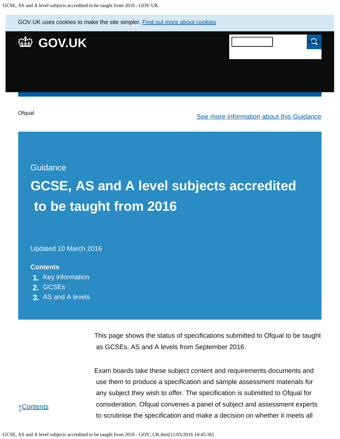GOV.UK uses cookies to make the site simpler. [Find out more about cookies](https://www.gov.uk/help/cookies)



**[Ofqual](https://www.gov.uk/government/organisations/ofqual)** 

[See more information about this Guidance](https://www.gov.uk/government/publications/accreditation-of-gcses-as-a-levels-for-teaching-from-2016)

**Guidance** 

# **GCSE, AS and A level subjects accredited to be taught from 2016**

Updated 10 March 2016

#### **Contents**

- **1.** [Key information](https://www.gov.uk/government/publications/accreditation-of-gcses-as-a-levels-for-teaching-from-2016/gcse-as-and-a-level-subjects-accredited-to-be-taught-from-2016#key-information)
- **2.** [GCSEs](https://www.gov.uk/government/publications/accreditation-of-gcses-as-a-levels-for-teaching-from-2016/gcse-as-and-a-level-subjects-accredited-to-be-taught-from-2016#gcses)
- **3.** [AS and A levels](https://www.gov.uk/government/publications/accreditation-of-gcses-as-a-levels-for-teaching-from-2016/gcse-as-and-a-level-subjects-accredited-to-be-taught-from-2016#as-and-a-levels)

This page shows the status of specifications submitted to Ofqual to be taught as GCSEs, AS and A levels from September 2016.

Exam boards take these subject content and requirements documents and use them to produce a specification and sample assessment materials for any subject they wish to offer. The specification is submitted to Ofqual for consideration. Ofqual convenes a panel of subject and assessment experts to scrutinise the specification and make a decision on whether it meets all

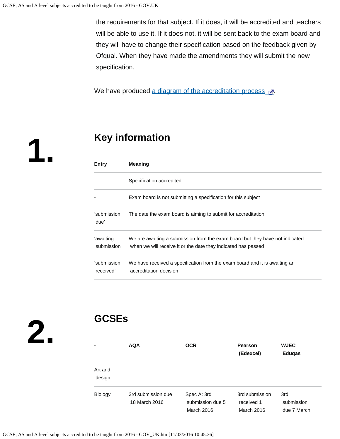the requirements for that subject. If it does, it will be accredited and teachers will be able to use it. If it does not, it will be sent back to the exam board and they will have to change their specification based on the feedback given by Ofqual. When they have made the amendments they will submit the new specification.

We have produced [a diagram of the accreditation process](https://s-media-cache-ak0.pinimg.com/originals/ce/98/b8/ce98b80566a5db550a3c26889667b9f8.png)  $\mathbb{R}$ .

**1.**

### **Key information**

| Entry                    | <b>Meaning</b>                                                                                                                                |  |  |  |  |
|--------------------------|-----------------------------------------------------------------------------------------------------------------------------------------------|--|--|--|--|
|                          | Specification accredited                                                                                                                      |  |  |  |  |
|                          | Exam board is not submitting a specification for this subject                                                                                 |  |  |  |  |
| 'submission<br>due'      | The date the exam board is aiming to submit for accreditation                                                                                 |  |  |  |  |
| 'awaiting<br>submission' | We are awaiting a submission from the exam board but they have not indicated<br>when we will receive it or the date they indicated has passed |  |  |  |  |
| 'submission<br>received' | We have received a specification from the exam board and it is awaiting an<br>accreditation decision                                          |  |  |  |  |

**2.**

# **GCSEs**

| ۰                 | <b>AQA</b>                          | <b>OCR</b>                                    | <b>Pearson</b><br>(Edexcel)                | <b>WJEC</b><br><b>Edugas</b>     |
|-------------------|-------------------------------------|-----------------------------------------------|--------------------------------------------|----------------------------------|
| Art and<br>design |                                     |                                               |                                            |                                  |
| Biology           | 3rd submission due<br>18 March 2016 | Spec A: 3rd<br>submission due 5<br>March 2016 | 3rd submission<br>received 1<br>March 2016 | 3rd<br>submission<br>due 7 March |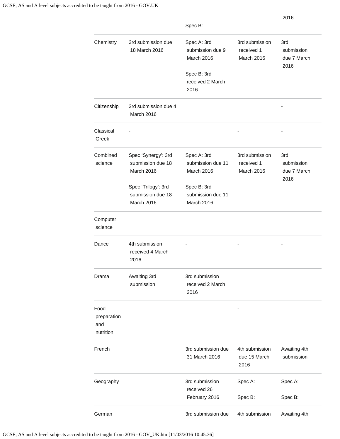|                                         |                                                               | Spec B:                                                      |                                            | 2016                                     |
|-----------------------------------------|---------------------------------------------------------------|--------------------------------------------------------------|--------------------------------------------|------------------------------------------|
| Chemistry                               | 3rd submission due<br>18 March 2016                           | Spec A: 3rd<br>submission due 9<br>March 2016<br>Spec B: 3rd | 3rd submission<br>received 1<br>March 2016 | 3rd<br>submission<br>due 7 March<br>2016 |
|                                         |                                                               | received 2 March<br>2016                                     |                                            |                                          |
| Citizenship                             | 3rd submission due 4<br>March 2016                            |                                                              |                                            |                                          |
| Classical<br>Greek                      |                                                               |                                                              |                                            |                                          |
| Combined<br>science                     | Spec 'Synergy': 3rd<br>submission due 18<br><b>March 2016</b> | Spec A: 3rd<br>submission due 11<br>March 2016               | 3rd submission<br>received 1<br>March 2016 | 3rd<br>submission<br>due 7 March<br>2016 |
|                                         | Spec 'Trilogy': 3rd<br>submission due 18<br>March 2016        | Spec B: 3rd<br>submission due 11<br>March 2016               |                                            |                                          |
| Computer<br>science                     |                                                               |                                                              |                                            |                                          |
| Dance                                   | 4th submission<br>received 4 March<br>2016                    |                                                              |                                            |                                          |
| Drama                                   | Awaiting 3rd<br>submission                                    | 3rd submission<br>received 2 March<br>2016                   |                                            |                                          |
| Food<br>preparation<br>and<br>nutrition |                                                               |                                                              |                                            |                                          |
| French                                  |                                                               | 3rd submission due<br>31 March 2016                          | 4th submission<br>due 15 March<br>2016     | Awaiting 4th<br>submission               |
| Geography                               |                                                               | 3rd submission<br>received 26                                | Spec A:                                    | Spec A:                                  |
|                                         |                                                               | February 2016                                                | Spec B:                                    | Spec B:                                  |
| German                                  |                                                               | 3rd submission due                                           | 4th submission                             | Awaiting 4th                             |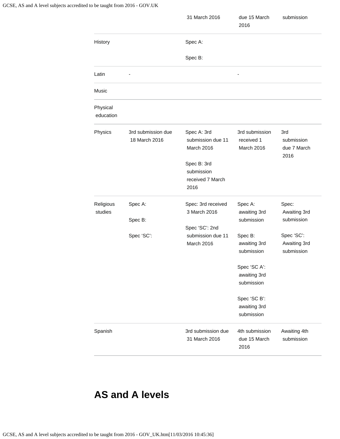|                       |                                     | 31 March 2016                                         | due 15 March<br>2016                       | submission                               |
|-----------------------|-------------------------------------|-------------------------------------------------------|--------------------------------------------|------------------------------------------|
| History               |                                     | Spec A:                                               |                                            |                                          |
|                       |                                     | Spec B:                                               |                                            |                                          |
| Latin                 |                                     |                                                       |                                            |                                          |
| Music                 |                                     |                                                       |                                            |                                          |
| Physical<br>education |                                     |                                                       |                                            |                                          |
| Physics               | 3rd submission due<br>18 March 2016 | Spec A: 3rd<br>submission due 11<br>March 2016        | 3rd submission<br>received 1<br>March 2016 | 3rd<br>submission<br>due 7 March<br>2016 |
|                       |                                     | Spec B: 3rd<br>submission<br>received 7 March<br>2016 |                                            |                                          |
| Religious<br>studies  | Spec A:<br>Spec B:                  | Spec: 3rd received<br>3 March 2016<br>Spec 'SC': 2nd  | Spec A:<br>awaiting 3rd<br>submission      | Spec:<br>Awaiting 3rd<br>submission      |
|                       | Spec 'SC':                          | submission due 11<br>March 2016                       | Spec B:<br>awaiting 3rd<br>submission      | Spec 'SC':<br>Awaiting 3rd<br>submission |
|                       |                                     |                                                       | Spec 'SC A':<br>awaiting 3rd<br>submission |                                          |
|                       |                                     |                                                       | Spec 'SC B':<br>awaiting 3rd<br>submission |                                          |
| Spanish               |                                     | 3rd submission due<br>31 March 2016                   | 4th submission<br>due 15 March<br>2016     | Awaiting 4th<br>submission               |

## **AS and A levels**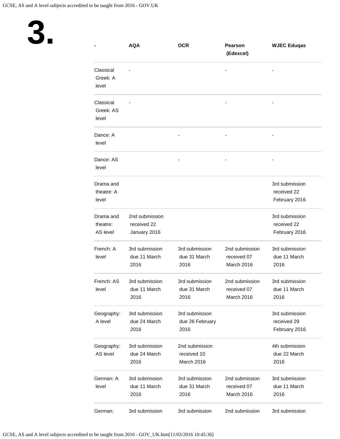

|                                   | <b>AQA</b>                                    | <b>OCR</b>                                  | <b>Pearson</b><br>(Edexcel)                 | <b>WJEC Eduqas</b>                             |
|-----------------------------------|-----------------------------------------------|---------------------------------------------|---------------------------------------------|------------------------------------------------|
| Classical<br>Greek: A<br>level    |                                               |                                             |                                             |                                                |
| Classical<br>Greek: AS<br>level   |                                               |                                             |                                             |                                                |
| Dance: A<br>level                 |                                               |                                             |                                             |                                                |
| Dance: AS<br>level                |                                               |                                             |                                             |                                                |
| Drama and<br>theatre: A<br>level  |                                               |                                             |                                             | 3rd submission<br>received 22<br>February 2016 |
| Drama and<br>theatre:<br>AS level | 2nd submission<br>received 22<br>January 2016 |                                             |                                             | 3rd submission<br>received 22<br>February 2016 |
| French: A<br>level                | 3rd submission<br>due 11 March<br>2016        | 3rd submission<br>due 31 March<br>2016      | 2nd submission<br>received 07<br>March 2016 | 3rd submission<br>due 11 March<br>2016         |
| French: AS<br>level               | 3rd submission<br>due 11 March<br>2016        | 3rd submission<br>due 31 March<br>2016      | 2nd submission<br>received 07<br>March 2016 | 3rd submission<br>due 11 March<br>2016         |
| Geography:<br>A level             | 3rd submission<br>due 24 March<br>2016        | 3rd submission<br>due 26 February<br>2016   |                                             | 3rd submission<br>received 29<br>February 2016 |
| Geography:<br>AS level            | 3rd submission<br>due 24 March<br>2016        | 2nd submission<br>received 10<br>March 2016 |                                             | 4th submission<br>due 22 March<br>2016         |
| German: A<br>level                | 3rd submission<br>due 11 March<br>2016        | 3rd submission<br>due 31 March<br>2016      | 2nd submission<br>received 07<br>March 2016 | 3rd submission<br>due 11 March<br>2016         |
| German:                           | 3rd submission                                | 3rd submission                              | 2nd submission                              | 3rd submission                                 |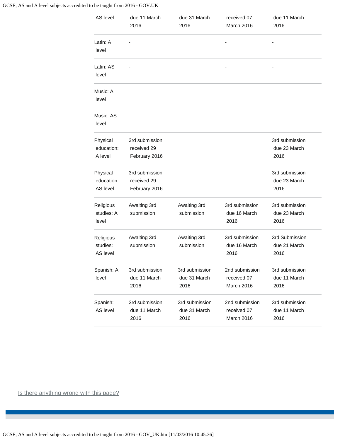#### GCSE, AS and A level subjects accredited to be taught from 2016 - GOV.UK

| AS level                           | due 11 March<br>2016                           | due 31 March<br>2016                   | received 07<br>March 2016                   | due 11 March<br>2016                   |
|------------------------------------|------------------------------------------------|----------------------------------------|---------------------------------------------|----------------------------------------|
| Latin: A<br>level                  |                                                |                                        |                                             |                                        |
| Latin: AS<br>level                 |                                                |                                        |                                             |                                        |
| Music: A<br>level                  |                                                |                                        |                                             |                                        |
| Music: AS<br>level                 |                                                |                                        |                                             |                                        |
| Physical<br>education:<br>A level  | 3rd submission<br>received 29<br>February 2016 |                                        |                                             | 3rd submission<br>due 23 March<br>2016 |
| Physical<br>education:<br>AS level | 3rd submission<br>received 29<br>February 2016 |                                        |                                             | 3rd submission<br>due 23 March<br>2016 |
| Religious<br>studies: A<br>level   | Awaiting 3rd<br>submission                     | Awaiting 3rd<br>submission             | 3rd submission<br>due 16 March<br>2016      | 3rd submission<br>due 23 March<br>2016 |
| Religious<br>studies:<br>AS level  | Awaiting 3rd<br>submission                     | Awaiting 3rd<br>submission             | 3rd submission<br>due 16 March<br>2016      | 3rd Submission<br>due 21 March<br>2016 |
| Spanish: A<br>level                | 3rd submission<br>due 11 March<br>2016         | 3rd submission<br>due 31 March<br>2016 | 2nd submission<br>received 07<br>March 2016 | 3rd submission<br>due 11 March<br>2016 |
| Spanish:<br>AS level               | 3rd submission<br>due 11 March<br>2016         | 3rd submission<br>due 31 March<br>2016 | 2nd submission<br>received 07<br>March 2016 | 3rd submission<br>due 11 March<br>2016 |

Is there anything wrong with this page?